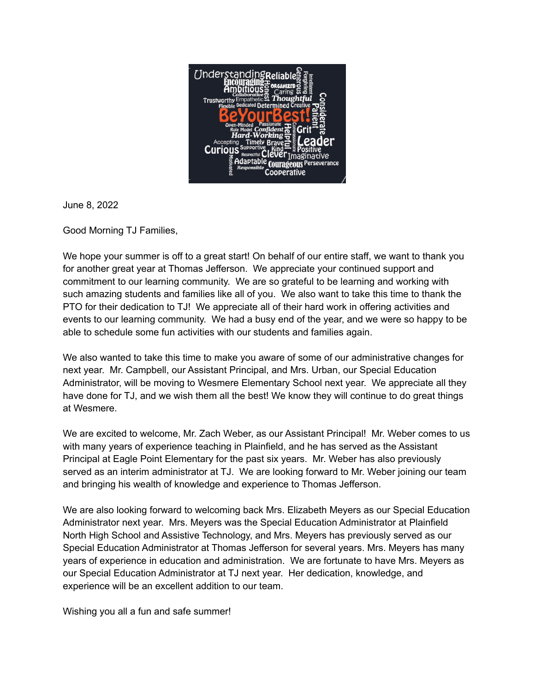

June 8, 2022

Good Morning TJ Families,

We hope your summer is off to a great start! On behalf of our entire staff, we want to thank you for another great year at Thomas Jefferson. We appreciate your continued support and commitment to our learning community. We are so grateful to be learning and working with such amazing students and families like all of you. We also want to take this time to thank the PTO for their dedication to TJ! We appreciate all of their hard work in offering activities and events to our learning community. We had a busy end of the year, and we were so happy to be able to schedule some fun activities with our students and families again.

We also wanted to take this time to make you aware of some of our administrative changes for next year. Mr. Campbell, our Assistant Principal, and Mrs. Urban, our Special Education Administrator, will be moving to Wesmere Elementary School next year. We appreciate all they have done for TJ, and we wish them all the best! We know they will continue to do great things at Wesmere.

We are excited to welcome, Mr. Zach Weber, as our Assistant Principal! Mr. Weber comes to us with many years of experience teaching in Plainfield, and he has served as the Assistant Principal at Eagle Point Elementary for the past six years. Mr. Weber has also previously served as an interim administrator at TJ. We are looking forward to Mr. Weber joining our team and bringing his wealth of knowledge and experience to Thomas Jefferson.

We are also looking forward to welcoming back Mrs. Elizabeth Meyers as our Special Education Administrator next year. Mrs. Meyers was the Special Education Administrator at Plainfield North High School and Assistive Technology, and Mrs. Meyers has previously served as our Special Education Administrator at Thomas Jefferson for several years. Mrs. Meyers has many years of experience in education and administration. We are fortunate to have Mrs. Meyers as our Special Education Administrator at TJ next year. Her dedication, knowledge, and experience will be an excellent addition to our team.

Wishing you all a fun and safe summer!